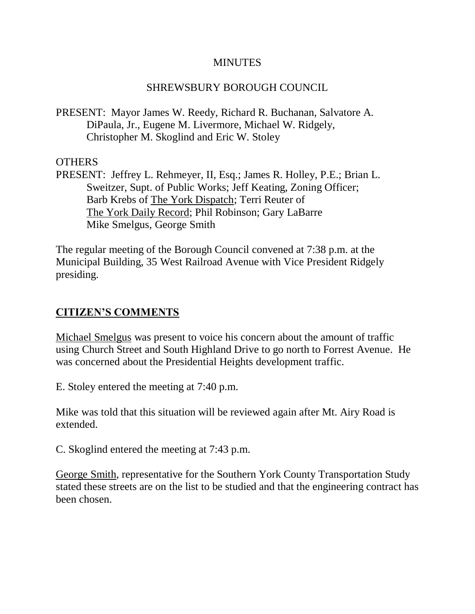#### **MINUTES**

### SHREWSBURY BOROUGH COUNCIL

PRESENT: Mayor James W. Reedy, Richard R. Buchanan, Salvatore A. DiPaula, Jr., Eugene M. Livermore, Michael W. Ridgely, Christopher M. Skoglind and Eric W. Stoley

### **OTHERS**

PRESENT: Jeffrey L. Rehmeyer, II, Esq.; James R. Holley, P.E.; Brian L. Sweitzer, Supt. of Public Works; Jeff Keating, Zoning Officer; Barb Krebs of The York Dispatch; Terri Reuter of The York Daily Record; Phil Robinson; Gary LaBarre Mike Smelgus, George Smith

The regular meeting of the Borough Council convened at 7:38 p.m. at the Municipal Building, 35 West Railroad Avenue with Vice President Ridgely presiding.

# **CITIZEN'S COMMENTS**

Michael Smelgus was present to voice his concern about the amount of traffic using Church Street and South Highland Drive to go north to Forrest Avenue. He was concerned about the Presidential Heights development traffic.

E. Stoley entered the meeting at 7:40 p.m.

Mike was told that this situation will be reviewed again after Mt. Airy Road is extended.

C. Skoglind entered the meeting at 7:43 p.m.

George Smith, representative for the Southern York County Transportation Study stated these streets are on the list to be studied and that the engineering contract has been chosen.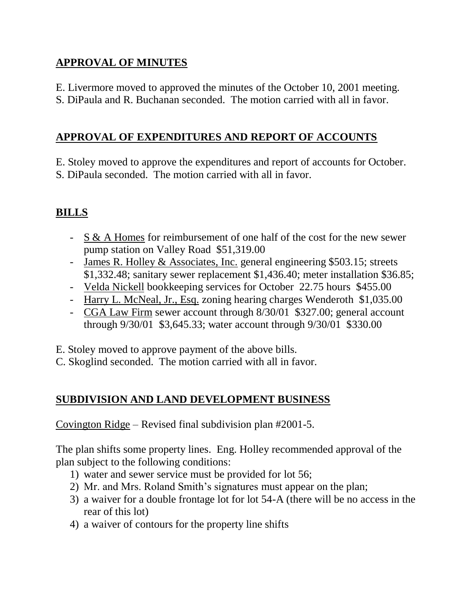# **APPROVAL OF MINUTES**

- E. Livermore moved to approved the minutes of the October 10, 2001 meeting.
- S. DiPaula and R. Buchanan seconded. The motion carried with all in favor.

# **APPROVAL OF EXPENDITURES AND REPORT OF ACCOUNTS**

E. Stoley moved to approve the expenditures and report of accounts for October. S. DiPaula seconded. The motion carried with all in favor.

# **BILLS**

- S & A Homes for reimbursement of one half of the cost for the new sewer pump station on Valley Road \$51,319.00
- James R. Holley & Associates, Inc. general engineering \$503.15; streets \$1,332.48; sanitary sewer replacement \$1,436.40; meter installation \$36.85;
- Velda Nickell bookkeeping services for October 22.75 hours \$455.00
- Harry L. McNeal, Jr., Esq. zoning hearing charges Wenderoth \$1,035.00
- CGA Law Firm sewer account through 8/30/01 \$327.00; general account through 9/30/01 \$3,645.33; water account through 9/30/01 \$330.00

E. Stoley moved to approve payment of the above bills.

C. Skoglind seconded. The motion carried with all in favor.

# **SUBDIVISION AND LAND DEVELOPMENT BUSINESS**

Covington Ridge – Revised final subdivision plan #2001-5.

The plan shifts some property lines. Eng. Holley recommended approval of the plan subject to the following conditions:

- 1) water and sewer service must be provided for lot 56;
- 2) Mr. and Mrs. Roland Smith's signatures must appear on the plan;
- 3) a waiver for a double frontage lot for lot 54-A (there will be no access in the rear of this lot)
- 4) a waiver of contours for the property line shifts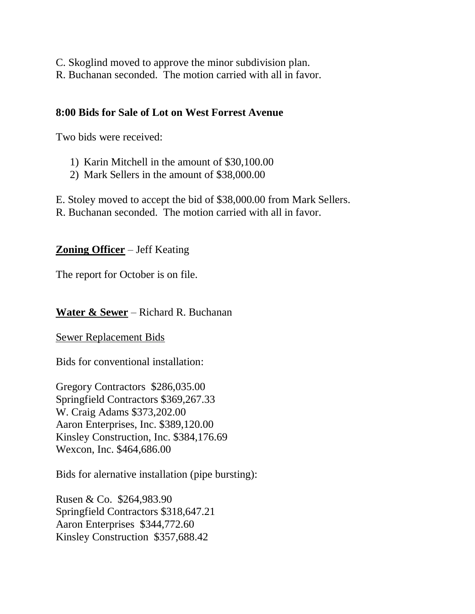- C. Skoglind moved to approve the minor subdivision plan.
- R. Buchanan seconded. The motion carried with all in favor.

## **8:00 Bids for Sale of Lot on West Forrest Avenue**

Two bids were received:

- 1) Karin Mitchell in the amount of \$30,100.00
- 2) Mark Sellers in the amount of \$38,000.00

E. Stoley moved to accept the bid of \$38,000.00 from Mark Sellers.

R. Buchanan seconded. The motion carried with all in favor.

## **Zoning Officer** – Jeff Keating

The report for October is on file.

## **Water & Sewer** – Richard R. Buchanan

Sewer Replacement Bids

Bids for conventional installation:

Gregory Contractors \$286,035.00 Springfield Contractors \$369,267.33 W. Craig Adams \$373,202.00 Aaron Enterprises, Inc. \$389,120.00 Kinsley Construction, Inc. \$384,176.69 Wexcon, Inc. \$464,686.00

Bids for alernative installation (pipe bursting):

Rusen & Co. \$264,983.90 Springfield Contractors \$318,647.21 Aaron Enterprises \$344,772.60 Kinsley Construction \$357,688.42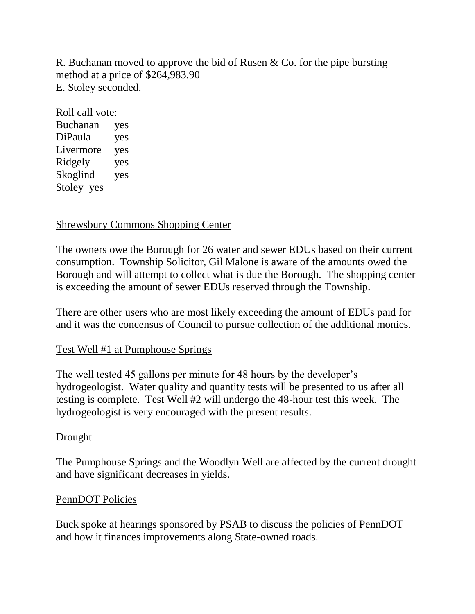R. Buchanan moved to approve the bid of Rusen & Co. for the pipe bursting method at a price of \$264,983.90 E. Stoley seconded.

Roll call vote: Buchanan yes DiPaula yes Livermore yes Ridgely yes Skoglind yes Stoley yes

### Shrewsbury Commons Shopping Center

The owners owe the Borough for 26 water and sewer EDUs based on their current consumption. Township Solicitor, Gil Malone is aware of the amounts owed the Borough and will attempt to collect what is due the Borough. The shopping center is exceeding the amount of sewer EDUs reserved through the Township.

There are other users who are most likely exceeding the amount of EDUs paid for and it was the concensus of Council to pursue collection of the additional monies.

### Test Well #1 at Pumphouse Springs

The well tested 45 gallons per minute for 48 hours by the developer's hydrogeologist. Water quality and quantity tests will be presented to us after all testing is complete. Test Well #2 will undergo the 48-hour test this week. The hydrogeologist is very encouraged with the present results.

#### **Drought**

The Pumphouse Springs and the Woodlyn Well are affected by the current drought and have significant decreases in yields.

#### PennDOT Policies

Buck spoke at hearings sponsored by PSAB to discuss the policies of PennDOT and how it finances improvements along State-owned roads.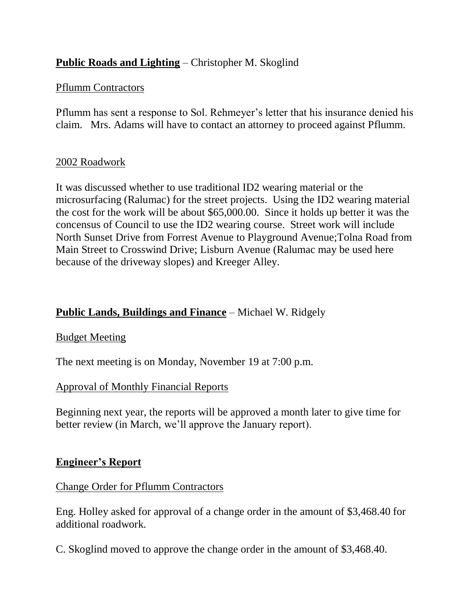# **Public Roads and Lighting** – Christopher M. Skoglind

#### Pflumm Contractors

Pflumm has sent a response to Sol. Rehmeyer's letter that his insurance denied his claim. Mrs. Adams will have to contact an attorney to proceed against Pflumm.

#### 2002 Roadwork

It was discussed whether to use traditional ID2 wearing material or the microsurfacing (Ralumac) for the street projects. Using the ID2 wearing material the cost for the work will be about \$65,000.00. Since it holds up better it was the concensus of Council to use the ID2 wearing course. Street work will include North Sunset Drive from Forrest Avenue to Playground Avenue;Tolna Road from Main Street to Crosswind Drive; Lisburn Avenue (Ralumac may be used here because of the driveway slopes) and Kreeger Alley.

### **Public Lands, Buildings and Finance** – Michael W. Ridgely

### Budget Meeting

The next meeting is on Monday, November 19 at 7:00 p.m.

### Approval of Monthly Financial Reports

Beginning next year, the reports will be approved a month later to give time for better review (in March, we'll approve the January report).

#### **Engineer's Report**

#### Change Order for Pflumm Contractors

Eng. Holley asked for approval of a change order in the amount of \$3,468.40 for additional roadwork.

C. Skoglind moved to approve the change order in the amount of \$3,468.40.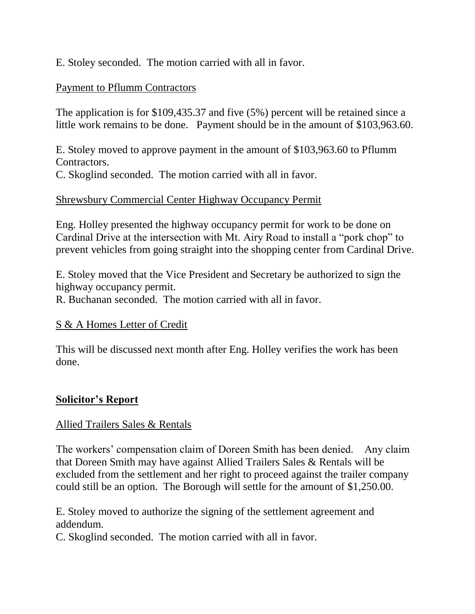E. Stoley seconded. The motion carried with all in favor.

## Payment to Pflumm Contractors

The application is for \$109,435.37 and five (5%) percent will be retained since a little work remains to be done. Payment should be in the amount of \$103,963.60.

E. Stoley moved to approve payment in the amount of \$103,963.60 to Pflumm Contractors.

C. Skoglind seconded. The motion carried with all in favor.

### Shrewsbury Commercial Center Highway Occupancy Permit

Eng. Holley presented the highway occupancy permit for work to be done on Cardinal Drive at the intersection with Mt. Airy Road to install a "pork chop" to prevent vehicles from going straight into the shopping center from Cardinal Drive.

E. Stoley moved that the Vice President and Secretary be authorized to sign the highway occupancy permit.

R. Buchanan seconded. The motion carried with all in favor.

### S & A Homes Letter of Credit

This will be discussed next month after Eng. Holley verifies the work has been done.

### **Solicitor's Report**

### Allied Trailers Sales & Rentals

The workers' compensation claim of Doreen Smith has been denied. Any claim that Doreen Smith may have against Allied Trailers Sales & Rentals will be excluded from the settlement and her right to proceed against the trailer company could still be an option. The Borough will settle for the amount of \$1,250.00.

E. Stoley moved to authorize the signing of the settlement agreement and addendum.

C. Skoglind seconded. The motion carried with all in favor.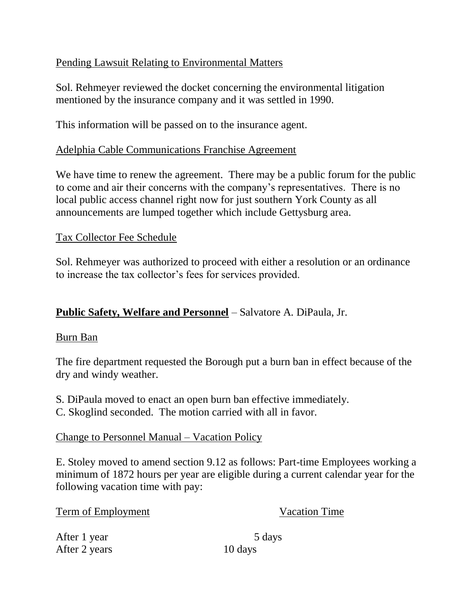# Pending Lawsuit Relating to Environmental Matters

Sol. Rehmeyer reviewed the docket concerning the environmental litigation mentioned by the insurance company and it was settled in 1990.

This information will be passed on to the insurance agent.

### Adelphia Cable Communications Franchise Agreement

We have time to renew the agreement. There may be a public forum for the public to come and air their concerns with the company's representatives. There is no local public access channel right now for just southern York County as all announcements are lumped together which include Gettysburg area.

## Tax Collector Fee Schedule

Sol. Rehmeyer was authorized to proceed with either a resolution or an ordinance to increase the tax collector's fees for services provided.

# **Public Safety, Welfare and Personnel** – Salvatore A. DiPaula, Jr.

### Burn Ban

The fire department requested the Borough put a burn ban in effect because of the dry and windy weather.

- S. DiPaula moved to enact an open burn ban effective immediately.
- C. Skoglind seconded. The motion carried with all in favor.

# Change to Personnel Manual – Vacation Policy

E. Stoley moved to amend section 9.12 as follows: Part-time Employees working a minimum of 1872 hours per year are eligible during a current calendar year for the following vacation time with pay:

Term of Employment Vacation Time

After 1 year 5 days After 2 years 10 days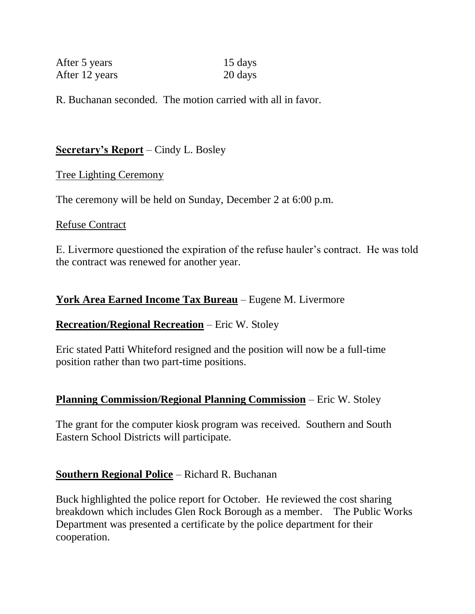| After 5 years  | 15 days |
|----------------|---------|
| After 12 years | 20 days |

R. Buchanan seconded. The motion carried with all in favor.

## **Secretary's Report** – Cindy L. Bosley

#### Tree Lighting Ceremony

The ceremony will be held on Sunday, December 2 at 6:00 p.m.

#### Refuse Contract

E. Livermore questioned the expiration of the refuse hauler's contract. He was told the contract was renewed for another year.

## **York Area Earned Income Tax Bureau** – Eugene M. Livermore

### **Recreation/Regional Recreation** – Eric W. Stoley

Eric stated Patti Whiteford resigned and the position will now be a full-time position rather than two part-time positions.

### **Planning Commission/Regional Planning Commission** – Eric W. Stoley

The grant for the computer kiosk program was received. Southern and South Eastern School Districts will participate.

### **Southern Regional Police** – Richard R. Buchanan

Buck highlighted the police report for October. He reviewed the cost sharing breakdown which includes Glen Rock Borough as a member. The Public Works Department was presented a certificate by the police department for their cooperation.